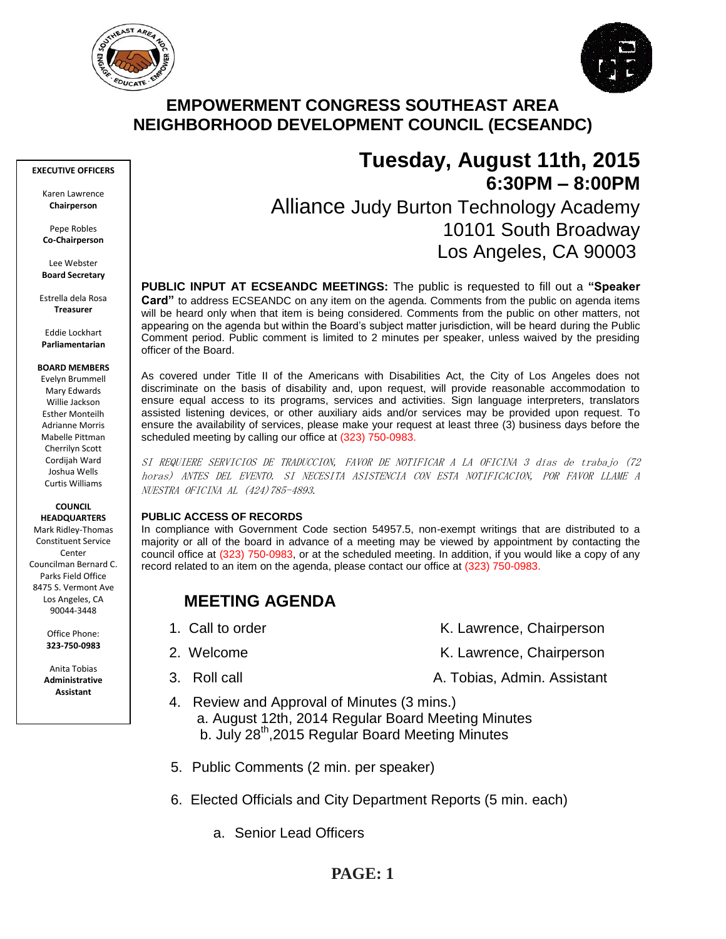



# **EMPOWERMENT CONGRESS SOUTHEAST AREA NEIGHBORHOOD DEVELOPMENT COUNCIL (ECSEANDC)**

#### **EXECUTIVE OFFICERS**

Karen Lawrence **Chairperson**

Pepe Robles **Co-Chairperson**

Lee Webster **Board Secretary**

Estrella dela Rosa **Treasurer**

Eddie Lockhart **Parliamentarian**

#### **BOARD MEMBERS**

Evelyn Brummell Mary Edwards Willie Jackson Esther Monteilh Adrianne Morris Mabelle Pittman Cherrilyn Scott Cordijah Ward Joshua Wells Curtis Williams

#### **COUNCIL HEADQUARTERS**

Mark Ridley-Thomas Constituent Service Conter Councilman Bernard C. Parks Field Office 8475 S. Vermont Ave Los Angeles, CA 90044-3448

> Office Phone: **323-750-0983**

Anita Tobias **Administrative Assistant**

# **Tuesday, August 11th, 2015 6:30PM – 8:00PM** Alliance Judy Burton Technology Academy 10101 South Broadway Los Angeles, CA 90003

**PUBLIC INPUT AT ECSEANDC MEETINGS:** The public is requested to fill out a **"Speaker Card"** to address ECSEANDC on any item on the agenda. Comments from the public on agenda items will be heard only when that item is being considered. Comments from the public on other matters, not appearing on the agenda but within the Board's subject matter jurisdiction, will be heard during the Public Comment period. Public comment is limited to 2 minutes per speaker, unless waived by the presiding officer of the Board.

As covered under Title II of the Americans with Disabilities Act, the City of Los Angeles does not discriminate on the basis of disability and, upon request, will provide reasonable accommodation to ensure equal access to its programs, services and activities. Sign language interpreters, translators assisted listening devices, or other auxiliary aids and/or services may be provided upon request. To ensure the availability of services, please make your request at least three (3) business days before the scheduled meeting by calling our office at (323) 750-0983.

SI REQUIERE SERVICIOS DE TRADUCCION, FAVOR DE NOTIFICAR A LA OFICINA 3 días de trabajo (72 horas) ANTES DEL EVENTO. SI NECESITA ASISTENCIA CON ESTA NOTIFICACION, POR FAVOR LLAME A NUESTRA OFICINA AL (424)785-4893.

### **PUBLIC ACCESS OF RECORDS**

In compliance with Government Code section 54957.5, non-exempt writings that are distributed to a majority or all of the board in advance of a meeting may be viewed by appointment by contacting the council office at (323) 750-0983, or at the scheduled meeting. In addition, if you would like a copy of any record related to an item on the agenda, please contact our office at (323) 750-0983.

# **MEETING AGENDA**

- 
- -
- 1. Call to order The Contract Chair K. Lawrence, Chairperson
- 2. Welcome **K. Lawrence, Chairperson**
- 3. Roll call **A. Tobias, Admin. Assistant**
- 4. Review and Approval of Minutes (3 mins.) a. August 12th, 2014 Regular Board Meeting Minutes b. July 28<sup>th</sup>, 2015 Regular Board Meeting Minutes
	- 5. Public Comments (2 min. per speaker)
	- 6. Elected Officials and City Department Reports (5 min. each)
		- a. Senior Lead Officers

# **PAGE: 1**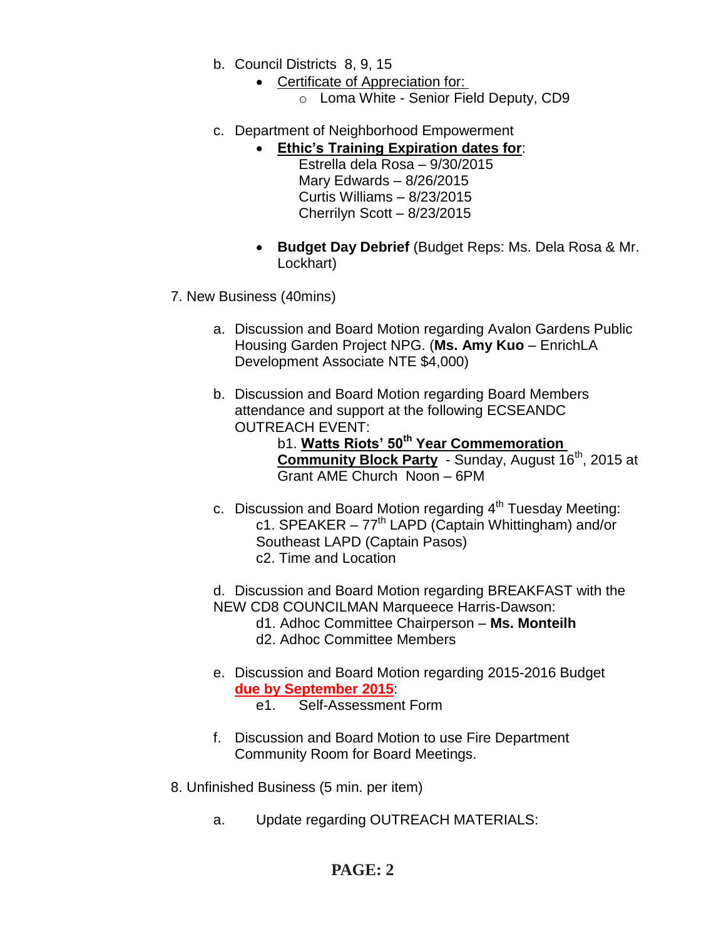- b. Council Districts 8, 9, 15
	- Certificate of Appreciation for:
		- o Loma White Senior Field Deputy, CD9
- c. Department of Neighborhood Empowerment
	- **Ethic's Training Expiration dates for**:
		- Estrella dela Rosa 9/30/2015 Mary Edwards – 8/26/2015 Curtis Williams – 8/23/2015 Cherrilyn Scott – 8/23/2015
		- **Budget Day Debrief** (Budget Reps: Ms. Dela Rosa & Mr. Lockhart)
- 7. New Business (40mins)
	- a. Discussion and Board Motion regarding Avalon Gardens Public Housing Garden Project NPG. (**Ms. Amy Kuo** – EnrichLA Development Associate NTE \$4,000)
	- b. Discussion and Board Motion regarding Board Members attendance and support at the following ECSEANDC OUTREACH EVENT:
		- b1. **Watts Riots' 50th Year Commemoration**  Community Block Party - Sunday, August 16<sup>th</sup>, 2015 at Grant AME Church Noon – 6PM
	- c. Discussion and Board Motion regarding  $4<sup>th</sup>$  Tuesday Meeting: c1. SPEAKER  $-77<sup>th</sup>$  LAPD (Captain Whittingham) and/or Southeast LAPD (Captain Pasos) c2. Time and Location
	- d. Discussion and Board Motion regarding BREAKFAST with the NEW CD8 COUNCILMAN Marqueece Harris-Dawson:
		- d1. Adhoc Committee Chairperson **Ms. Monteilh**
		- d2. Adhoc Committee Members
	- e. Discussion and Board Motion regarding 2015-2016 Budget **due by September 2015**: e1. Self-Assessment Form
		-
	- f. Discussion and Board Motion to use Fire Department Community Room for Board Meetings.
- 8. Unfinished Business (5 min. per item)
	- a. Update regarding OUTREACH MATERIALS:

# **PAGE: 2**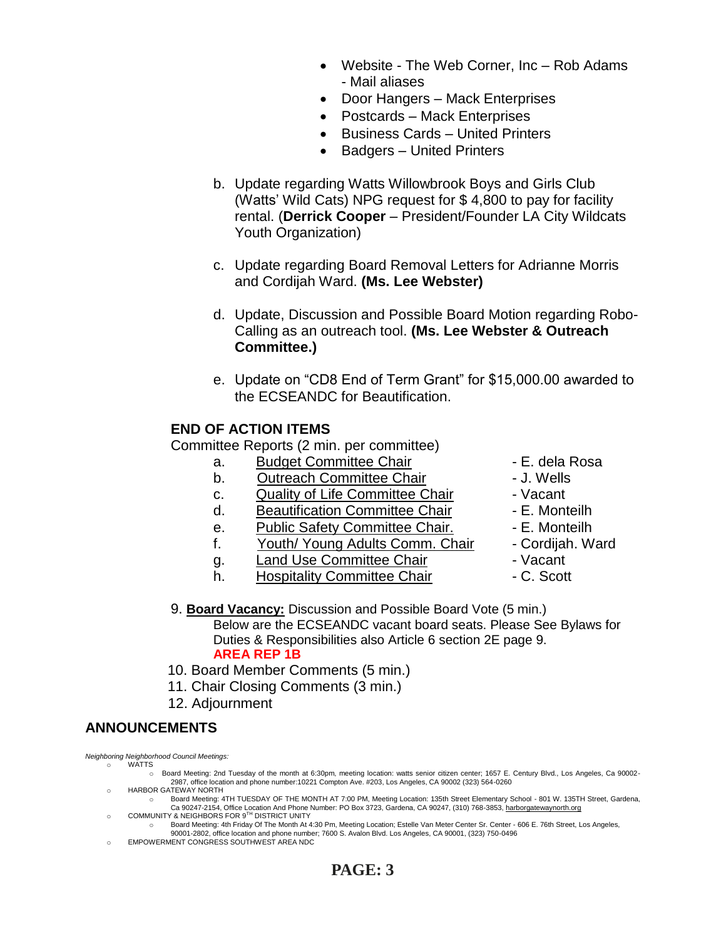- Website The Web Corner, Inc Rob Adams - Mail aliases
- Door Hangers Mack Enterprises
- Postcards Mack Enterprises
- Business Cards United Printers
- Badgers United Printers
- b. Update regarding Watts Willowbrook Boys and Girls Club (Watts' Wild Cats) NPG request for \$ 4,800 to pay for facility rental. (**Derrick Cooper** – President/Founder LA City Wildcats Youth Organization)
- c. Update regarding Board Removal Letters for Adrianne Morris and Cordijah Ward. **(Ms. Lee Webster)**
- d. Update, Discussion and Possible Board Motion regarding Robo-Calling as an outreach tool. **(Ms. Lee Webster & Outreach Committee.)**
- e. Update on "CD8 End of Term Grant" for \$15,000.00 awarded to the ECSEANDC for Beautification.

### **END OF ACTION ITEMS**

Committee Reports (2 min. per committee)

- a. Budget Committee Chair  **E. dela Rosa**
- b. Outreach Committee Chair **Daniel Access** J. Wells
- c. Quality of Life Committee Chair Vacant
- d. Beautification Committee Chair E. Monteilh
- e. Public Safety Committee Chair. E. Monteilh
- f. Youth/ Young Adults Comm. Chair Cordijah. Ward
- g. Land Use Committee Chair **1988** Vacant
- h. Hospitality Committee Chair  **C. Scott**
- 
- 
- 
- 
- 
- 
- -
- 9. **Board Vacancy:** Discussion and Possible Board Vote (5 min.) Below are the ECSEANDC vacant board seats. Please See Bylaws for Duties & Responsibilities also Article 6 section 2E page 9. **AREA REP 1B**
- 10. Board Member Comments (5 min.)
- 11. Chair Closing Comments (3 min.)
- 12. Adjournment

## **ANNOUNCEMENTS**

*Neighboring Neighborhood Council Meetings:*

- o WATTS
	- o Board Meeting: 2nd Tuesday of the month at 6:30pm, meeting location: watts senior citizen center; 1657 E. Century Blvd., Los Angeles, Ca 90002- 2987, office location and phone number:10221 Compton Ave. #203, Los Angeles, CA 90002 (323) 564-0260
- o HARBOR GATEWAY NORTH
	- o Board Meeting: 4TH TUESDAY OF THE MONTH AT 7:00 PM, Meeting Location: 135th Street Elementary School 801 W. 135TH Street, Gardena,<br>Ca 90247-2154, Office Location And Phone Number: PO Box 3723, Gardena, CA 90247, (310) COMMUNITY & NEIGHBORS FOR 9TH DISTRICT UNITY
		- o Board Meeting: 4th Friday Of The Month At 4:30 Pm, Meeting Location; Estelle Van Meter Center Sr. Center 606 E. 76th Street, Los Angeles, 90001-2802, office location and phone number; 7600 S. Avalon Blvd. Los Angeles, CA 90001, (323) 750-0496
- EMPOWERMENT CONGRESS SOUTHWEST AREA NDC